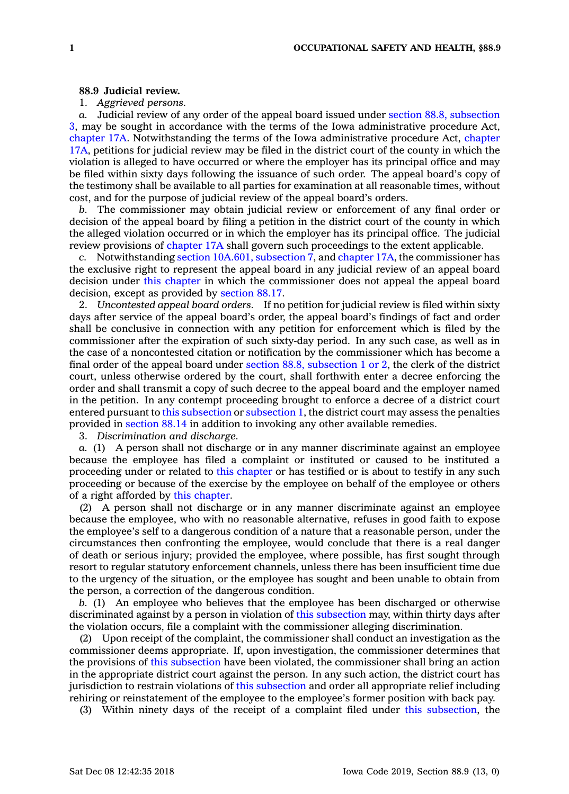## **88.9 Judicial review.**

## 1. *Aggrieved persons.*

*a.* Judicial review of any order of the appeal board issued under section 88.8, [subsection](https://www.legis.iowa.gov/docs/code/88.8.pdf) [3](https://www.legis.iowa.gov/docs/code/88.8.pdf), may be sought in accordance with the terms of the Iowa administrative procedure Act, [chapter](https://www.legis.iowa.gov/docs/code//17A.pdf) 17A. Notwithstanding the terms of the Iowa administrative procedure Act, [chapter](https://www.legis.iowa.gov/docs/code//17A.pdf) [17A](https://www.legis.iowa.gov/docs/code//17A.pdf), petitions for judicial review may be filed in the district court of the county in which the violation is alleged to have occurred or where the employer has its principal office and may be filed within sixty days following the issuance of such order. The appeal board's copy of the testimony shall be available to all parties for examination at all reasonable times, without cost, and for the purpose of judicial review of the appeal board's orders.

*b.* The commissioner may obtain judicial review or enforcement of any final order or decision of the appeal board by filing <sup>a</sup> petition in the district court of the county in which the alleged violation occurred or in which the employer has its principal office. The judicial review provisions of [chapter](https://www.legis.iowa.gov/docs/code//17A.pdf) 17A shall govern such proceedings to the extent applicable.

*c.* Notwithstanding section 10A.601, [subsection](https://www.legis.iowa.gov/docs/code/10A.601.pdf) 7, and [chapter](https://www.legis.iowa.gov/docs/code//17A.pdf) 17A, the commissioner has the exclusive right to represent the appeal board in any judicial review of an appeal board decision under this [chapter](https://www.legis.iowa.gov/docs/code//88.pdf) in which the commissioner does not appeal the appeal board decision, except as provided by [section](https://www.legis.iowa.gov/docs/code/88.17.pdf) 88.17.

2. *Uncontested appeal board orders.* If no petition for judicial review is filed within sixty days after service of the appeal board's order, the appeal board's findings of fact and order shall be conclusive in connection with any petition for enforcement which is filed by the commissioner after the expiration of such sixty-day period. In any such case, as well as in the case of <sup>a</sup> noncontested citation or notification by the commissioner which has become <sup>a</sup> final order of the appeal board under section 88.8, [subsection](https://www.legis.iowa.gov/docs/code/88.8.pdf) 1 or 2, the clerk of the district court, unless otherwise ordered by the court, shall forthwith enter <sup>a</sup> decree enforcing the order and shall transmit <sup>a</sup> copy of such decree to the appeal board and the employer named in the petition. In any contempt proceeding brought to enforce <sup>a</sup> decree of <sup>a</sup> district court entered pursuant to this [subsection](https://www.legis.iowa.gov/docs/code/88.9.pdf) or [subsection](https://www.legis.iowa.gov/docs/code/88.9.pdf) 1, the district court may assess the penalties provided in [section](https://www.legis.iowa.gov/docs/code/88.14.pdf) 88.14 in addition to invoking any other available remedies.

3. *Discrimination and discharge.*

*a.* (1) A person shall not discharge or in any manner discriminate against an employee because the employee has filed <sup>a</sup> complaint or instituted or caused to be instituted <sup>a</sup> proceeding under or related to this [chapter](https://www.legis.iowa.gov/docs/code//88.pdf) or has testified or is about to testify in any such proceeding or because of the exercise by the employee on behalf of the employee or others of <sup>a</sup> right afforded by this [chapter](https://www.legis.iowa.gov/docs/code//88.pdf).

(2) A person shall not discharge or in any manner discriminate against an employee because the employee, who with no reasonable alternative, refuses in good faith to expose the employee's self to <sup>a</sup> dangerous condition of <sup>a</sup> nature that <sup>a</sup> reasonable person, under the circumstances then confronting the employee, would conclude that there is <sup>a</sup> real danger of death or serious injury; provided the employee, where possible, has first sought through resort to regular statutory enforcement channels, unless there has been insufficient time due to the urgency of the situation, or the employee has sought and been unable to obtain from the person, <sup>a</sup> correction of the dangerous condition.

*b.* (1) An employee who believes that the employee has been discharged or otherwise discriminated against by <sup>a</sup> person in violation of this [subsection](https://www.legis.iowa.gov/docs/code/88.9.pdf) may, within thirty days after the violation occurs, file <sup>a</sup> complaint with the commissioner alleging discrimination.

(2) Upon receipt of the complaint, the commissioner shall conduct an investigation as the commissioner deems appropriate. If, upon investigation, the commissioner determines that the provisions of this [subsection](https://www.legis.iowa.gov/docs/code/88.9.pdf) have been violated, the commissioner shall bring an action in the appropriate district court against the person. In any such action, the district court has jurisdiction to restrain violations of this [subsection](https://www.legis.iowa.gov/docs/code/88.9.pdf) and order all appropriate relief including rehiring or reinstatement of the employee to the employee's former position with back pay.

(3) Within ninety days of the receipt of <sup>a</sup> complaint filed under this [subsection](https://www.legis.iowa.gov/docs/code/88.9.pdf), the